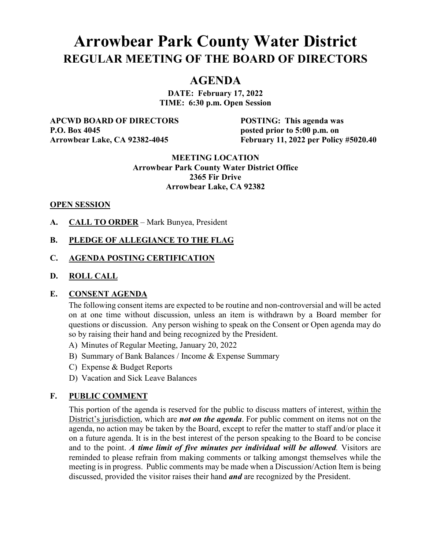# **Arrowbear Park County Water District REGULAR MEETING OF THE BOARD OF DIRECTORS**

## **AGENDA**

**DATE: February 17, 2022 TIME: 6:30 p.m. Open Session**

**APCWD BOARD OF DIRECTORS POSTING: This agenda was P.O. Box 4045 posted prior to 5:00 p.m. on** 

**Arrowbear Lake, CA 92382-4045 February 11, 2022 per Policy #5020.40**

#### **MEETING LOCATION Arrowbear Park County Water District Office 2365 Fir Drive Arrowbear Lake, CA 92382**

#### **OPEN SESSION**

**A. CALL TO ORDER** – Mark Bunyea, President

### **B. PLEDGE OF ALLEGIANCE TO THE FLAG**

#### **C. AGENDA POSTING CERTIFICATION**

#### **D. ROLL CALL**

#### **E. CONSENT AGENDA**

The following consent items are expected to be routine and non-controversial and will be acted on at one time without discussion, unless an item is withdrawn by a Board member for questions or discussion. Any person wishing to speak on the Consent or Open agenda may do so by raising their hand and being recognized by the President.

- A) Minutes of Regular Meeting, January 20, 2022
- B) Summary of Bank Balances / Income & Expense Summary
- C) Expense & Budget Reports
- D) Vacation and Sick Leave Balances

#### **F. PUBLIC COMMENT**

This portion of the agenda is reserved for the public to discuss matters of interest, within the District's jurisdiction, which are *not on the agenda*. For public comment on items not on the agenda, no action may be taken by the Board, except to refer the matter to staff and/or place it on a future agenda. It is in the best interest of the person speaking to the Board to be concise and to the point. *A time limit of five minutes per individual will be allowed.* Visitors are reminded to please refrain from making comments or talking amongst themselves while the meeting is in progress. Public comments may be made when a Discussion/Action Item is being discussed, provided the visitor raises their hand *and* are recognized by the President.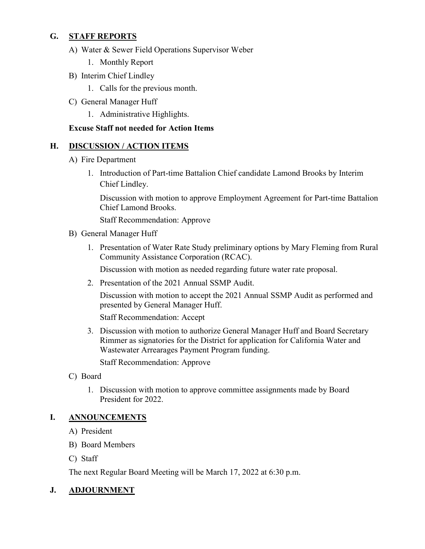## **G. STAFF REPORTS**

- A) Water & Sewer Field Operations Supervisor Weber
	- 1. Monthly Report
- B) Interim Chief Lindley
	- 1. Calls for the previous month.
- C) General Manager Huff
	- 1. Administrative Highlights.

## **Excuse Staff not needed for Action Items**

## **H. DISCUSSION / ACTION ITEMS**

- A) Fire Department
	- 1. Introduction of Part-time Battalion Chief candidate Lamond Brooks by Interim Chief Lindley.

Discussion with motion to approve Employment Agreement for Part-time Battalion Chief Lamond Brooks.

Staff Recommendation: Approve

- B) General Manager Huff
	- 1. Presentation of Water Rate Study preliminary options by Mary Fleming from Rural Community Assistance Corporation (RCAC).

Discussion with motion as needed regarding future water rate proposal.

2. Presentation of the 2021 Annual SSMP Audit.

Discussion with motion to accept the 2021 Annual SSMP Audit as performed and presented by General Manager Huff.

Staff Recommendation: Accept

3. Discussion with motion to authorize General Manager Huff and Board Secretary Rimmer as signatories for the District for application for California Water and Wastewater Arrearages Payment Program funding. Staff Recommendation: Approve

- C) Board
	- 1. Discussion with motion to approve committee assignments made by Board President for 2022.

## **I. ANNOUNCEMENTS**

- A) President
- B) Board Members
- C) Staff

The next Regular Board Meeting will be March 17, 2022 at 6:30 p.m.

## **J. ADJOURNMENT**